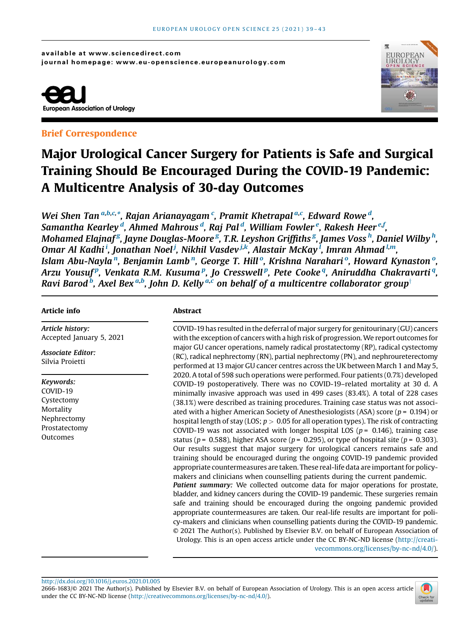available at www.sciencedirect.com journal homepage: www.eu-opens cience.europeanurology.com



## Brief Correspondence



# Major Urological Cancer Surgery for Patients is Safe and Surgical Training Should Be Encouraged During the COVID-19 Pandemic: A Multicentre Analysis of 30-day Outcomes

Wei Shen Tan <sup>[a,b,c,](#page-4-0)</sup>[\\*, Rajan Arianayagam](#page-4-0) <sup>c</sup>[, Pramit Khetrapal](#page-4-0) <sup>[a,](#page-4-0)c</sup>[, Edward Rowe](#page-4-0) <sup>d</sup>[,](#page-4-0) Samantha Kearley <sup>d</sup>[, Ahmed Mahrous](#page-4-0) <sup>d</sup>[,](#page-4-0) Raj Pal <sup>d</sup>, William Fowler <sup>e,</sup> [Rakesh](#page-4-0) [Heer](#page-4-0) <sup>e, f</sup>, Mohamed Elajnaf<sup>g</sup>[, Jayne Douglas-Moore](#page-4-0)'<sup>g'</sup>, T.R. Leyshon Griffiths'<sup>g</sup>, James Voss'<sup>h</sup>[, Daniel Wilby](#page-4-0)'<sup>h</sup>, Omar Al Kadhi $^i$ [, Jonathan Noel](#page-4-0) $^j$ [,](#page-4-0) [Nikhil](#page-4-0) [Vasdev](#page-4-0) $^{j,k}$ [, Alastair McKay](#page-4-0)  $^l$ , [Imran](#page-4-0) [Ahmad](#page-4-0)  $^{l,m}$ , Islam Abu-Nayla"[, Benjamin Lamb](#page-4-0)", George T. Hillº, Krishna Narahariº[, Howard Kynaston](#page-4-0)º, Arzu Yousuf<sup>p</sup>[, Venkata R.M. Kusuma](#page-4-0)<sup>p</sup>, Jo Cresswell<sup>p</sup>, Pete Cooke<sup>q</sup>[, Aniruddha Chakravarti](#page-4-0)<sup>q</sup>, Ravi Barod  $^b$ [, Axel Bex](#page-4-0)  $^{a,b}$  $^{a,b}$  $^{a,b}$ [, John D. Kelly](#page-4-0)  $^{a,c}$  $^{a,c}$  $^{a,c}$  [on behalf of a multicentre collaborator group](#page-4-0) $^\dagger$ 

## Article info

Article history: Accepted January 5, 2021

Associate Editor: Silvia Proietti

Keywords: COVID-19 Cystectomy **Mortality** Nephrectomy Prostatectomy Outcomes

## Abstract

COVID-19 has resulted in the deferral of major surgery for genitourinary (GU) cancers with the exception of cancers with a high risk of progression.We report outcomes for major GU cancer operations, namely radical prostatectomy (RP), radical cystectomy (RC), radical nephrectomy (RN), partial nephrectomy (PN), and nephroureterectomy performed at 13 major GU cancer centres across the UK between March 1 and May 5, 2020. A total of 598 such operations were performed. Four patients (0.7%) developed COVID-19 postoperatively. There was no COVID-19–related mortality at 30 d. A minimally invasive approach was used in 499 cases (83.4%). A total of 228 cases (38.1%) were described as training procedures. Training case status was not associated with a higher American Society of Anesthesiologists (ASA) score ( $p = 0.194$ ) or hospital length of stay (LOS;  $p > 0.05$  for all operation types). The risk of contracting COVID-19 was not associated with longer hospital LOS ( $p = 0.146$ ), training case status ( $p = 0.588$ ), higher ASA score ( $p = 0.295$ ), or type of hospital site ( $p = 0.303$ ). Our results suggest that major surgery for urological cancers remains safe and training should be encouraged during the ongoing COVID-19 pandemic provided appropriate countermeasures are taken. These real-life data are important for policymakers and clinicians when counselling patients during the current pandemic. Patient summary: We collected outcome data for major operations for prostate, bladder, and kidney cancers during the COVID-19 pandemic. These surgeries remain safe and training should be encouraged during the ongoing pandemic provided appropriate countermeasures are taken. Our real-life results are important for policy-makers and clinicians when counselling patients during the COVID-19 pandemic. © 2021 The Author(s). Published by Elsevier B.V. on behalf of European Association of Urology. This is an open access article under the CC BY-NC-ND license [\(http://creati](http://creativecommons.org/licenses/by-nc-nd/4.0/)[vecommons.org/licenses/by-nc-nd/4.0/](http://creativecommons.org/licenses/by-nc-nd/4.0/)).

<http://dx.doi.org/10.1016/j.euros.2021.01.005>

2666-1683/© 2021 The Author(s). Published by Elsevier B.V. on behalf of European Association of Urology. This is an open access article under the CC BY-NC-ND license ([http://creativecommons.org/licenses/by-nc-nd/4.0/\)](http://creativecommons.org/licenses/by-nc-nd/4.0/).

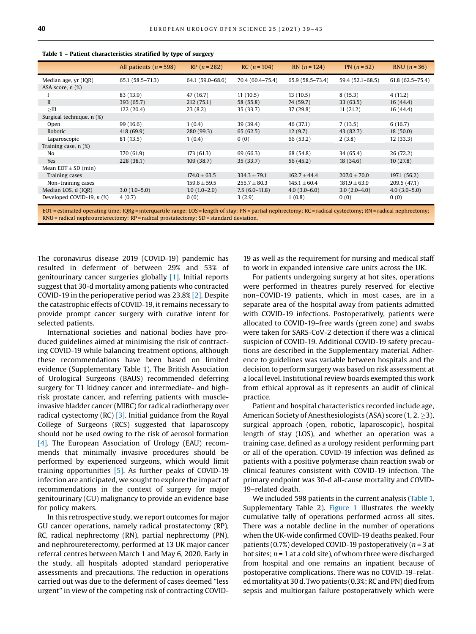|                                                                                                                                                                      | All patients $(n = 598)$ | $RP(n = 282)$    | $RC(n = 104)$    | $RN(n = 124)$    | $PN (n = 52)$    | RNU $(n = 36)$      |
|----------------------------------------------------------------------------------------------------------------------------------------------------------------------|--------------------------|------------------|------------------|------------------|------------------|---------------------|
| Median age, yr (IQR)                                                                                                                                                 | $65.1(58.5 - 71.3)$      | 64.1 (59.0-68.6) | 70.4 (60.4-75.4) | 65.9 (58.5-73.4) | 59.4 (52.1-68.5) | $61.8(62.5 - 75.4)$ |
| ASA score, $n$ $(\%)$                                                                                                                                                |                          |                  |                  |                  |                  |                     |
|                                                                                                                                                                      | 83 (13.9)                | 47 (16.7)        | 11(10.5)         | 13(10.5)         | 8(15.3)          | 4(11.2)             |
| $\mathbf{I}$                                                                                                                                                         | 393 (65.7)               | 212(75.1)        | 58 (55.8)        | 74 (59.7)        | 33(63.5)         | 16(44.4)            |
|                                                                                                                                                                      | 122 (20.4)               | 23(8.2)          | 35 (33.7)        | 37 (29.8)        | 11(21.2)         | 16 (44.4)           |
| Surgical technique, n (%)                                                                                                                                            |                          |                  |                  |                  |                  |                     |
| Open                                                                                                                                                                 | 99 (16.6)                | 1(0.4)           | 39 (39.4)        | 46 (37.1)        | 7(13.5)          | 6(16.7)             |
| Robotic                                                                                                                                                              | 418 (69.9)               | 280 (99.3)       | 65(62.5)         | 12(9.7)          | 43 (82.7)        | 18(50.0)            |
| Laparoscopic                                                                                                                                                         | 81 (13.5)                | 1(0.4)           | 0(0)             | 66 (53.2)        | 2(3.8)           | 12(33.3)            |
| Training case, n (%)                                                                                                                                                 |                          |                  |                  |                  |                  |                     |
| No.                                                                                                                                                                  | 370 (61.9)               | 173(61.3)        | 69 (66.3)        | 68 (54.8)        | 34 (65.4)        | 26(72.2)            |
| <b>Yes</b>                                                                                                                                                           | 228 (38.1)               | 109(38.7)        | 35 (33.7)        | 56 (45.2)        | 18(34.6)         | 10(27.8)            |
| Mean $EOT \pm SD$ (min)                                                                                                                                              |                          |                  |                  |                  |                  |                     |
| Training cases                                                                                                                                                       |                          | $174.0 \pm 63.5$ | $334.3 \pm 79.1$ | $162.7 \pm 44.4$ | $207.0 \pm 70.0$ | 197.1 (56.2)        |
| Non-training cases                                                                                                                                                   |                          | $159.6 \pm 59.5$ | $255.7 \pm 80.3$ | $145.1 \pm 60.4$ | $181.9 \pm 63.9$ | 209.5 (47.1)        |
| Median LOS, d (IOR)                                                                                                                                                  | $3.0(1.0-5.0)$           | $1.0(1.0-2.0)$   | $7.5(6.0-11.8)$  | $4.0(3.0-6.0)$   | $3.0(2.0-4.0)$   | $4.0(3.0-5.0)$      |
| Developed COVID-19, $n$ (%)                                                                                                                                          | 4(0.7)                   | 0(0)             | 3(2.9)           | 1(0.8)           | 0(0)             | 0(0)                |
| $EOT =$ estimated energing time: $IODa =$ intergraphic range $IOC =$ length of stay $DM =$ partial perhapses any $DC =$ radical systemy $DM =$ radical perhapses any |                          |                  |                  |                  |                  |                     |

<span id="page-1-0"></span>Table 1 – Patient characteristics stratified by type of surgery

EOT = estimated operating time; IQRg = interquartile range; LOS = length of stay; PN = partial nephrectomy; RC = radical cystectomy; RN = radical nephrectomy;  $RNU =$  radical nephroureterectomy;  $RP =$  radical prostatectomy;  $SD =$  standard deviation.

The coronavirus disease 2019 (COVID-19) pandemic has resulted in deferment of between 29% and 53% of genitourinary cancer surgeries globally [\[1\].](#page-3-0) Initial reports suggest that 30-d mortality among patients who contracted COVID-19 in the perioperative period was 23.8% [\[2\].](#page-3-0) Despite the catastrophic effects of COVID-19, it remains necessary to provide prompt cancer surgery with curative intent for selected patients.

International societies and national bodies have produced guidelines aimed at minimising the risk of contracting COVID-19 while balancing treatment options, although these recommendations have been based on limited evidence (Supplementary Table 1). The British Association of Urological Surgeons (BAUS) recommended deferring surgery for T1 kidney cancer and intermediate- and highrisk prostate cancer, and referring patients with muscleinvasive bladder cancer (MIBC) for radical radiotherapy over radical cystectomy (RC)  $[3]$ . Initial guidance from the Royal College of Surgeons (RCS) suggested that laparoscopy should not be used owing to the risk of aerosol formation [\[4\].](#page-3-0) The European Association of Urology (EAU) recommends that minimally invasive procedures should be performed by experienced surgeons, which would limit training opportunities [\[5\]](#page-3-0). As further peaks of COVID-19 infection are anticipated, we sought to explore the impact of recommendations in the context of surgery for major genitourinary (GU) malignancy to provide an evidence base for policy makers.

In this retrospective study, we report outcomes for major GU cancer operations, namely radical prostatectomy (RP), RC, radical nephrectomy (RN), partial nephrectomy (PN), and nephroureterectomy, performed at 13 UK major cancer referral centres between March 1 and May 6, 2020. Early in the study, all hospitals adopted standard perioperative assessments and precautions. The reduction in operations carried out was due to the deferment of cases deemed "less urgent" in view of the competing risk of contracting COVID-

19 as well as the requirement for nursing and medical staff to work in expanded intensive care units across the UK.

For patients undergoing surgery at hot sites, operations were performed in theatres purely reserved for elective non–COVID-19 patients, which in most cases, are in a separate area of the hospital away from patients admitted with COVID-19 infections. Postoperatively, patients were allocated to COVID-19–free wards (green zone) and swabs were taken for SARS-CoV-2 detection if there was a clinical suspicion of COVID-19. Additional COVID-19 safety precautions are described in the Supplementary material. Adherence to guidelines was variable between hospitals and the decision to perform surgery was based on risk assessment at a local level. Institutional review boards exempted this work from ethical approval as it represents an audit of clinical practice.

Patient and hospital characteristics recorded include age, American Society of Anesthesiologists (ASA) score (1, 2,  $\geq$ 3), surgical approach (open, robotic, laparoscopic), hospital length of stay (LOS), and whether an operation was a training case, defined as a urology resident performing part or all of the operation. COVID-19 infection was defined as patients with a positive polymerase chain reaction swab or clinical features consistent with COVID-19 infection. The primary endpoint was 30-d all-cause mortality and COVID-19–related death.

We included 598 patients in the current analysis (Table 1, Supplementary Table 2). [Figure 1](#page-2-0) illustrates the weekly cumulative tally of operations performed across all sites. There was a notable decline in the number of operations when the UK-wide confirmed COVID-19 deaths peaked. Four patients (0.7%) developed COVID-19 postoperatively ( $n = 3$  at hot sites;  $n = 1$  at a cold site), of whom three were discharged from hospital and one remains an inpatient because of postoperative complications. There was no COVID-19–relatedmortality at 30 d. Two patients (0.3%; RC and PN) died from sepsis and multiorgan failure postoperatively which were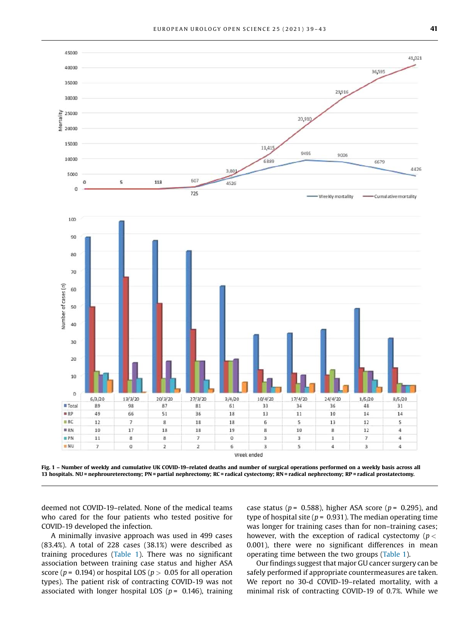<span id="page-2-0"></span>

Fig. 1 – Number of weekly and cumulative UK COVID-19–related deaths and number of surgical operations performed on a weekly basis across all 13 hospitals. NU = nephroureterectomy; PN = partial nephrectomy; RC = radical cystectomy; RN = radical nephrectomy; RP = radical prostatectomy.

deemed not COVID-19–related. None of the medical teams who cared for the four patients who tested positive for COVID-19 developed the infection.

A minimally invasive approach was used in 499 cases (83.4%). A total of 228 cases (38.1%) were described as training procedures ([Table 1](#page-1-0)). There was no significant association between training case status and higher ASA score ( $p = 0.194$ ) or hospital LOS ( $p > 0.05$  for all operation types). The patient risk of contracting COVID-19 was not associated with longer hospital LOS ( $p = 0.146$ ), training case status ( $p = 0.588$ ), higher ASA score ( $p = 0.295$ ), and type of hospital site ( $p = 0.931$ ). The median operating time was longer for training cases than for non–training cases; however, with the exception of radical cystectomy ( $p <$ 0.001), there were no significant differences in mean operating time between the two groups [\(Table 1\)](#page-1-0).

Our findings suggest that major GU cancer surgery can be safely performed if appropriate countermeasures are taken. We report no 30-d COVID-19–related mortality, with a minimal risk of contracting COVID-19 of 0.7%. While we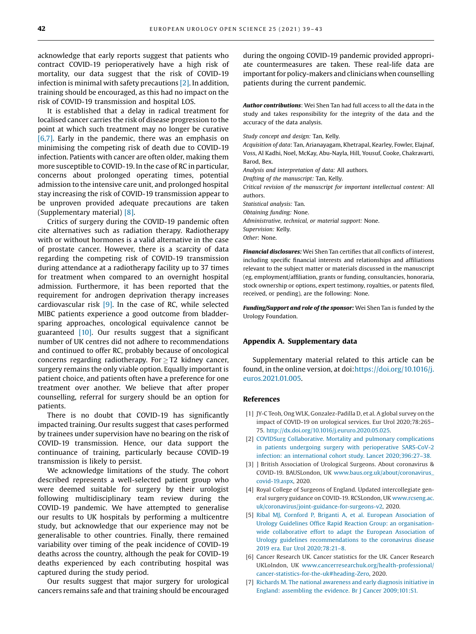<span id="page-3-0"></span>acknowledge that early reports suggest that patients who contract COVID-19 perioperatively have a high risk of mortality, our data suggest that the risk of COVID-19 infection is minimal with safety precautions  $[2]$ . In addition, training should be encouraged, as this had no impact on the risk of COVID-19 transmission and hospital LOS.

It is established that a delay in radical treatment for localised cancer carries the risk of disease progression to the point at which such treatment may no longer be curative [6,7]. Early in the pandemic, there was an emphasis on minimising the competing risk of death due to COVID-19 infection. Patients with cancer are often older, making them more susceptible to COVID-19. In the case of RC in particular, concerns about prolonged operating times, potential admission to the intensive care unit, and prolonged hospital stay increasing the risk of COVID-19 transmission appear to be unproven provided adequate precautions are taken (Supplementary material) [\[8\]](#page-4-0).

Critics of surgery during the COVID-19 pandemic often cite alternatives such as radiation therapy. Radiotherapy with or without hormones is a valid alternative in the case of prostate cancer. However, there is a scarcity of data regarding the competing risk of COVID-19 transmission during attendance at a radiotherapy facility up to 37 times for treatment when compared to an overnight hospital admission. Furthermore, it has been reported that the requirement for androgen deprivation therapy increases cardiovascular risk  $[9]$ . In the case of RC, while selected MIBC patients experience a good outcome from bladdersparing approaches, oncological equivalence cannot be guaranteed [\[10\].](#page-4-0) Our results suggest that a significant number of UK centres did not adhere to recommendations and continued to offer RC, probably because of oncological concerns regarding radiotherapy. For  $\geq$  T2 kidney cancer, surgery remains the only viable option. Equally important is patient choice, and patients often have a preference for one treatment over another. We believe that after proper counselling, referral for surgery should be an option for patients.

There is no doubt that COVID-19 has significantly impacted training. Our results suggest that cases performed by trainees under supervision have no bearing on the risk of COVID-19 transmission. Hence, our data support the continuance of training, particularly because COVID-19 transmission is likely to persist.

We acknowledge limitations of the study. The cohort described represents a well-selected patient group who were deemed suitable for surgery by their urologist following multidisciplinary team review during the COVID-19 pandemic. We have attempted to generalise our results to UK hospitals by performing a multicentre study, but acknowledge that our experience may not be generalisable to other countries. Finally, there remained variability over timing of the peak incidence of COVID-19 deaths across the country, although the peak for COVID-19 deaths experienced by each contributing hospital was captured during the study period.

Our results suggest that major surgery for urological cancers remains safe and that training should be encouraged during the ongoing COVID-19 pandemic provided appropriate countermeasures are taken. These real-life data are important for policy-makers and clinicians when counselling patients during the current pandemic.

Author contributions: Wei Shen Tan had full access to all the data in the study and takes responsibility for the integrity of the data and the accuracy of the data analysis.

Study concept and design: Tan, Kelly.

Acquisition of data: Tan, Arianayagam, Khetrapal, Kearley, Fowler, Elajnaf, Voss, Al Kadhi, Noel, McKay, Abu-Nayla, Hill, Yousuf, Cooke, Chakravarti, Barod, Bex. Analysis and interpretation of data: All authors. Drafting of the manuscript: Tan, Kelly. Critical revision of the manuscript for important intellectual content: All authors. Statistical analysis: Tan. Obtaining funding: None. Administrative, technical, or material support: None. Supervision: Kelly. Other: None.

Financial disclosures: Wei Shen Tan certifies that all conflicts of interest, including specific financial interests and relationships and affiliations relevant to the subject matter or materials discussed in the manuscript (eg, employment/affiliation, grants or funding, consultancies, honoraria, stock ownership or options, expert testimony, royalties, or patents filed, received, or pending), are the following: None.

Funding/Support and role of the sponsor: Wei Shen Tan is funded by the Urology Foundation.

#### Appendix A. Supplementary data

Supplementary material related to this article can be found, in the online version, at doi:[https://doi.org/10.1016/j.](https://doi.org/10.1016/j.euros.2021.01.005) [euros.2021.01.005.](https://doi.org/10.1016/j.euros.2021.01.005)

#### References

- [1] JY-C Teoh, Ong WLK, Gonzalez-Padilla D, et al. A global survey on the impact of COVID-19 on urological services. Eur Urol 2020;78:265– 75. [http://dx.doi.org/10.1016/j.eururo.2020.05.025.](http://dx.doi.org/10.1016/j.eururo.2020.05.025)
- [2] [COVIDSurg Collaborative. Mortality and pulmonary complications](http://refhub.elsevier.com/S2666-1683(21)00005-7/sbref0010) [in patients undergoing surgery with perioperative SARS-CoV-2](http://refhub.elsevier.com/S2666-1683(21)00005-7/sbref0010) [infection: an international cohort study. Lancet 2020;396:27](http://refhub.elsevier.com/S2666-1683(21)00005-7/sbref0010)–38.
- [3] ] British Association of Urological Surgeons. About coronavirus & COVID-19. BAUSLondon, UK [www.baus.org.uk/about/coronavirus\\_](http://www.baus.org.uk/about/coronavirus_covid-19.aspx) [covid-19.aspx,](http://www.baus.org.uk/about/coronavirus_covid-19.aspx) 2020.
- [4] Royal College of Surgeons of England. Updated intercollegiate general surgery guidance on COVID-19. RCSLondon, UK [www.rcseng.ac.](http://www.rcseng.ac.uk/coronavirus/joint-guidance-for-surgeons-v2) [uk/coronavirus/joint-guidance-for-surgeons-v2,](http://www.rcseng.ac.uk/coronavirus/joint-guidance-for-surgeons-v2) 2020.
- [5] [Ribal MJ, Cornford P, Briganti A, et al. European Association of](http://refhub.elsevier.com/S2666-1683(21)00005-7/sbref0025) Urology Guidelines Offi[ce Rapid Reaction Group: an organisation](http://refhub.elsevier.com/S2666-1683(21)00005-7/sbref0025)[wide collaborative effort to adapt the European Association of](http://refhub.elsevier.com/S2666-1683(21)00005-7/sbref0025) [Urology guidelines recommendations to the coronavirus disease](http://refhub.elsevier.com/S2666-1683(21)00005-7/sbref0025) [2019 era. Eur Urol 2020;78:21](http://refhub.elsevier.com/S2666-1683(21)00005-7/sbref0025)–8.
- [6] Cancer Research UK. Cancer statistics for the UK. Cancer Research UKLolndon, UK [www.cancerresearchuk.org/health-professional/](http://www.cancerresearchuk.org/health-professional/cancer-statistics-for-the-uk#heading-Zero) [cancer-statistics-for-the-uk#heading-Zero,](http://www.cancerresearchuk.org/health-professional/cancer-statistics-for-the-uk#heading-Zero) 2020.
- [7] [Richards M. The national awareness and early diagnosis initiative in](http://refhub.elsevier.com/S2666-1683(21)00005-7/sbref0035) [England: assembling the evidence. Br J Cancer 2009;101:S1.](http://refhub.elsevier.com/S2666-1683(21)00005-7/sbref0035)